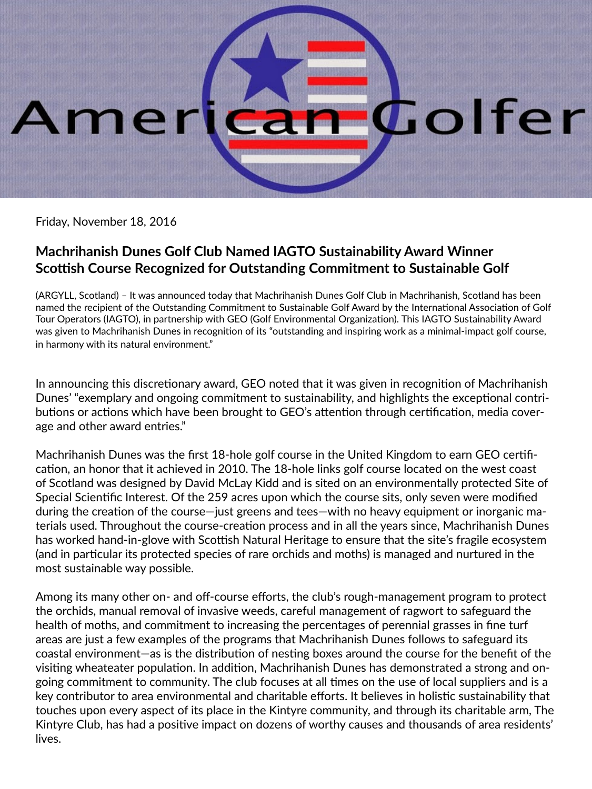## Colfer me

Friday, November 18, 2016

## **Machrihanish Dunes Golf Club Named IAGTO Sustainability Award Winner Scottish Course Recognized for Outstanding Commitment to Sustainable Golf**

(ARGYLL, Scotland) – It was announced today that Machrihanish Dunes Golf Club in Machrihanish, Scotland has been named the recipient of the Outstanding Commitment to Sustainable Golf Award by the International Association of Golf Tour Operators (IAGTO), in partnership with GEO (Golf Environmental Organization). This IAGTO Sustainability Award was given to Machrihanish Dunes in recognition of its "outstanding and inspiring work as a minimal-impact golf course, in harmony with its natural environment."

In announcing this discretionary award, GEO noted that it was given in recognition of Machrihanish Dunes' "exemplary and ongoing commitment to sustainability, and highlights the exceptional contributions or actions which have been brought to GEO's attention through certification, media coverage and other award entries."

Machrihanish Dunes was the first 18-hole golf course in the United Kingdom to earn GEO certification, an honor that it achieved in 2010. The 18-hole links golf course located on the west coast of Scotland was designed by David McLay Kidd and is sited on an environmentally protected Site of Special Scientific Interest. Of the 259 acres upon which the course sits, only seven were modified during the creation of the course—just greens and tees—with no heavy equipment or inorganic materials used. Throughout the course-creation process and in all the years since, Machrihanish Dunes has worked hand-in-glove with Scottish Natural Heritage to ensure that the site's fragile ecosystem (and in particular its protected species of rare orchids and moths) is managed and nurtured in the most sustainable way possible.

Among its many other on- and off-course efforts, the club's rough-management program to protect the orchids, manual removal of invasive weeds, careful management of ragwort to safeguard the health of moths, and commitment to increasing the percentages of perennial grasses in fine turf areas are just a few examples of the programs that Machrihanish Dunes follows to safeguard its coastal environment—as is the distribution of nesting boxes around the course for the benefit of the visiting wheateater population. In addition, Machrihanish Dunes has demonstrated a strong and ongoing commitment to community. The club focuses at all times on the use of local suppliers and is a key contributor to area environmental and charitable efforts. It believes in holistic sustainability that touches upon every aspect of its place in the Kintyre community, and through its charitable arm, The Kintyre Club, has had a positive impact on dozens of worthy causes and thousands of area residents' lives.